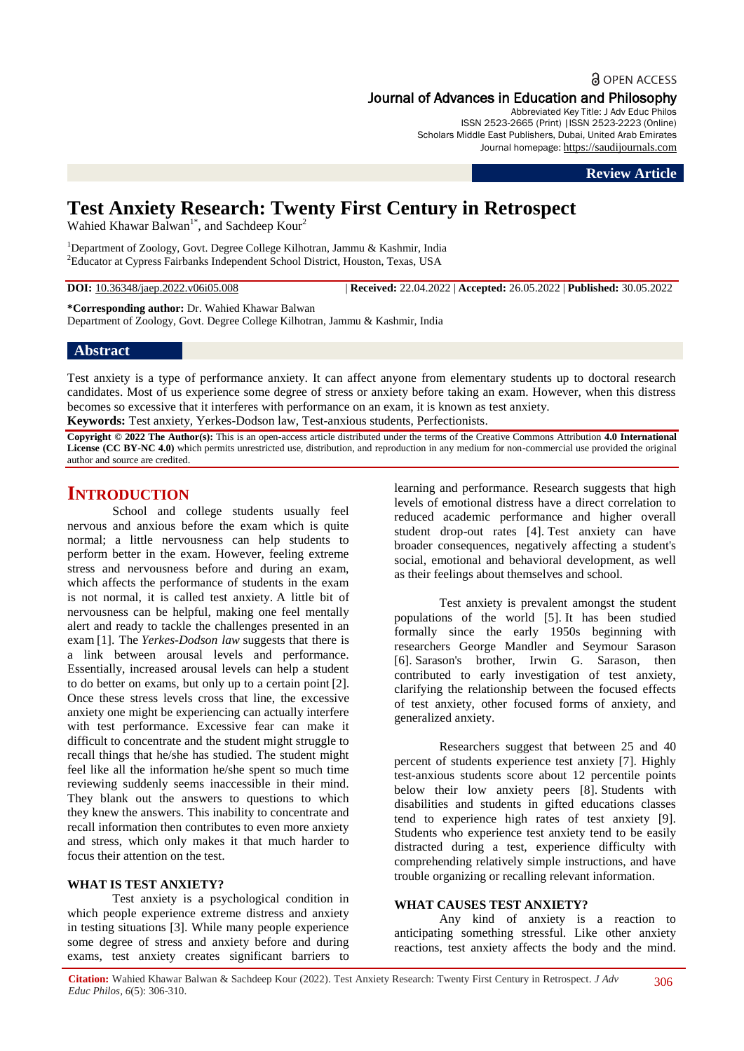# **a** OPEN ACCESS

# Journal of Advances in Education and Philosophy

Abbreviated Key Title: J Adv Educ Philos ISSN 2523-2665 (Print) |ISSN 2523-2223 (Online) Scholars Middle East Publishers, Dubai, United Arab Emirates Journal homepage: [https://saudijournals.com](https://saudijournals.com/jaep)

**Review Article**

# **Test Anxiety Research: Twenty First Century in Retrospect**

Wahied Khawar Balwan<sup>1\*</sup>, and Sachdeep Kour<sup>2</sup>

<sup>1</sup>Department of Zoology, Govt. Degree College Kilhotran, Jammu & Kashmir, India <sup>2</sup>Educator at Cypress Fairbanks Independent School District, Houston, Texas, USA

**DOI:** 10.36348/jaep.2022.v06i05.008 | **Received:** 22.04.2022 | **Accepted:** 26.05.2022 | **Published:** 30.05.2022

**\*Corresponding author:** Dr. Wahied Khawar Balwan

Department of Zoology, Govt. Degree College Kilhotran, Jammu & Kashmir, India

# **Abstract**

Test anxiety is a type of performance anxiety. It can affect anyone from elementary students up to doctoral research candidates. Most of us experience some degree of stress or anxiety before taking an exam. However, when this distress becomes so excessive that it interferes with performance on an exam, it is known as test anxiety. **Keywords:** Test anxiety, Yerkes-Dodson law, Test-anxious students, Perfectionists.

**Copyright © 2022 The Author(s):** This is an open-access article distributed under the terms of the Creative Commons Attribution **4.0 International License (CC BY-NC 4.0)** which permits unrestricted use, distribution, and reproduction in any medium for non-commercial use provided the original author and source are credited.

# **INTRODUCTION**

School and college students usually feel nervous and anxious before the exam which is quite normal; a little nervousness can help students to perform better in the exam. However, feeling extreme stress and nervousness before and during an exam, which affects the performance of students in the exam is not normal, it is called test anxiety. A little bit of nervousness can be helpful, making one feel mentally alert and ready to tackle the challenges presented in an exam [1]. The *Yerkes-Dodson law* suggests that there is a link between arousal levels and performance. Essentially, increased arousal levels can help a student to do better on exams, but only up to a certain point [2]. Once these stress levels cross that line, the excessive anxiety one might be experiencing can actually interfere with test performance. Excessive fear can make it difficult to concentrate and the student might struggle to recall things that he/she has studied. The student might feel like all the information he/she spent so much time reviewing suddenly seems inaccessible in their mind. They blank out the answers to questions to which they knew the answers. This inability to concentrate and recall information then contributes to even more anxiety and stress, which only makes it that much harder to focus their attention on the test.

# **WHAT IS TEST ANXIETY?**

Test anxiety is a psychological condition in which people experience extreme distress and anxiety in testing situations [3]. While many people experience some degree of stress and anxiety before and during exams, test anxiety creates significant barriers to learning and performance. Research suggests that high levels of emotional distress have a direct correlation to reduced academic performance and higher overall student drop-out rates [4]. Test anxiety can have broader consequences, negatively affecting a student's social, emotional and behavioral development, as well as their feelings about themselves and school.

Test anxiety is prevalent amongst the student populations of the world [5]. It has been studied formally since the early 1950s beginning with researchers George Mandler and Seymour Sarason [6]. Sarason's brother, Irwin G. Sarason, then contributed to early investigation of test anxiety, clarifying the relationship between the focused effects of test anxiety, other focused forms of anxiety, and generalized anxiety.

Researchers suggest that between 25 and 40 percent of students experience test anxiety [7]. Highly test-anxious students score about 12 percentile points below their low anxiety peers [8]. Students with disabilities and students in gifted educations classes tend to experience high rates of test anxiety [9]. Students who experience test anxiety tend to be easily distracted during a test, experience difficulty with comprehending relatively simple instructions, and have trouble organizing or recalling relevant information.

#### **WHAT CAUSES TEST ANXIETY?**

Any kind of anxiety is a reaction to anticipating something stressful. Like other anxiety reactions, test anxiety affects the body and the mind.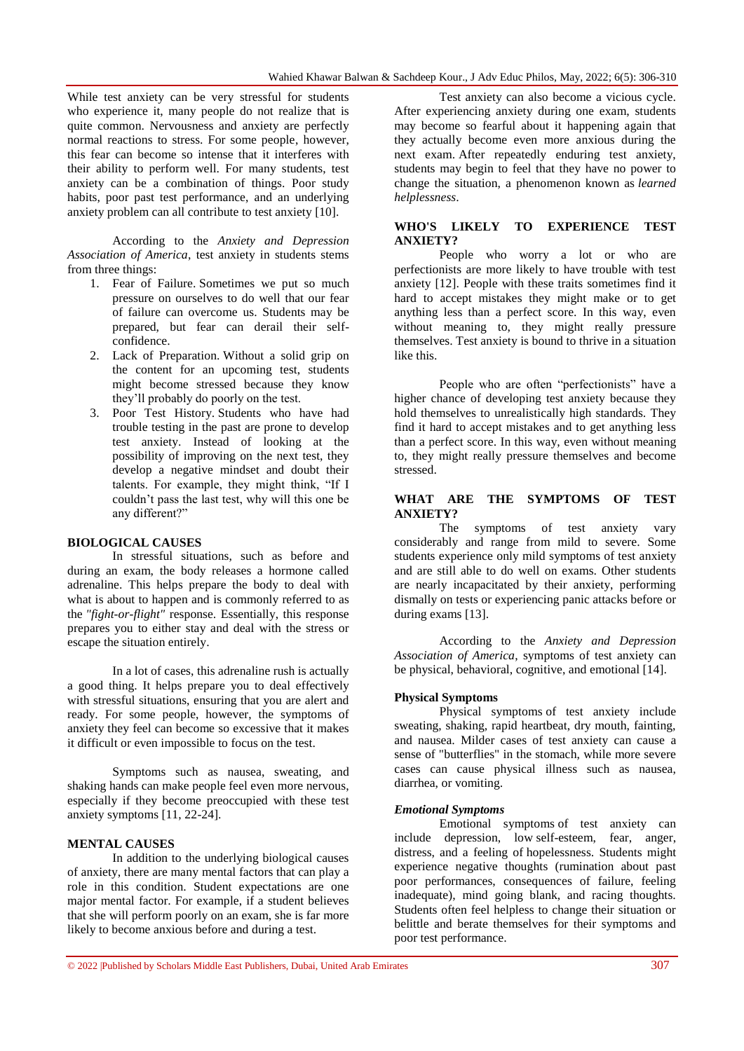While test anxiety can be very stressful for students who experience it, many people do not realize that is quite common. Nervousness and anxiety are perfectly normal reactions to stress. For some people, however, this fear can become so intense that it interferes with their ability to perform well. For many students, test anxiety can be a combination of things. Poor study habits, poor past test performance, and an underlying anxiety problem can all contribute to test anxiety [10].

According to the *Anxiety and Depression Association of America*, test anxiety in students stems from three things:

- 1. Fear of Failure. Sometimes we put so much pressure on ourselves to do well that our fear of failure can overcome us. Students may be prepared, but fear can derail their selfconfidence.
- 2. Lack of Preparation. Without a solid grip on the content for an upcoming test, students might become stressed because they know they'll probably do poorly on the test.
- 3. Poor Test History. Students who have had trouble testing in the past are prone to develop test anxiety. Instead of looking at the possibility of improving on the next test, they develop a negative mindset and doubt their talents. For example, they might think, "If I couldn't pass the last test, why will this one be any different?"

#### **BIOLOGICAL CAUSES**

In stressful situations, such as before and during an exam, the body releases a hormone called adrenaline. This helps prepare the body to deal with what is about to happen and is commonly referred to as the *"fight-or-flight"* response. Essentially, this response prepares you to either stay and deal with the stress or escape the situation entirely.

In a lot of cases, this adrenaline rush is actually a good thing. It helps prepare you to deal effectively with stressful situations, ensuring that you are alert and ready. For some people, however, the symptoms of anxiety they feel can become so excessive that it makes it difficult or even impossible to focus on the test.

Symptoms such as nausea, sweating, and shaking hands can make people feel even more nervous, especially if they become preoccupied with these test anxiety symptoms [11, 22-24].

#### **MENTAL CAUSES**

In addition to the underlying biological causes of anxiety, there are many mental factors that can play a role in this condition. Student expectations are one major mental factor. For example, if a student believes that she will perform poorly on an exam, she is far more likely to become anxious before and during a test.

Test anxiety can also become a vicious cycle. After experiencing anxiety during one exam, students may become so fearful about it happening again that they actually become even more anxious during the next exam. After repeatedly enduring test anxiety, students may begin to feel that they have no power to change the situation, a phenomenon known as *learned helplessness*.

# **WHO'S LIKELY TO EXPERIENCE TEST ANXIETY?**

People who worry a lot or who are perfectionists are more likely to have trouble with test anxiety [12]. People with these traits sometimes find it hard to accept mistakes they might make or to get anything less than a perfect score. In this way, even without meaning to, they might really pressure themselves. Test anxiety is bound to thrive in a situation like this.

People who are often "perfectionists" have a higher chance of developing test anxiety because they hold themselves to unrealistically high standards. They find it hard to accept mistakes and to get anything less than a perfect score. In this way, even without meaning to, they might really pressure themselves and become stressed.

# **WHAT ARE THE SYMPTOMS OF TEST ANXIETY?**

The symptoms of test anxiety vary considerably and range from mild to severe. Some students experience only mild symptoms of test anxiety and are still able to do well on exams. Other students are nearly incapacitated by their anxiety, performing dismally on tests or experiencing panic attacks before or during exams [13].

According to the *Anxiety and Depression Association of America*, symptoms of test anxiety can be physical, behavioral, cognitive, and emotional [14].

#### **Physical Symptoms**

Physical symptoms of test anxiety include sweating, shaking, rapid heartbeat, dry mouth, fainting, and nausea. Milder cases of test anxiety can cause a sense of "butterflies" in the stomach, while more severe cases can cause physical illness such as nausea, diarrhea, or vomiting.

#### *Emotional Symptoms*

Emotional symptoms of test anxiety can include depression, low self-esteem, fear, anger, distress, and a feeling of hopelessness. Students might experience negative thoughts (rumination about past poor performances, consequences of failure, feeling inadequate), mind going blank, and racing thoughts. Students often feel helpless to change their situation or belittle and berate themselves for their symptoms and poor test performance.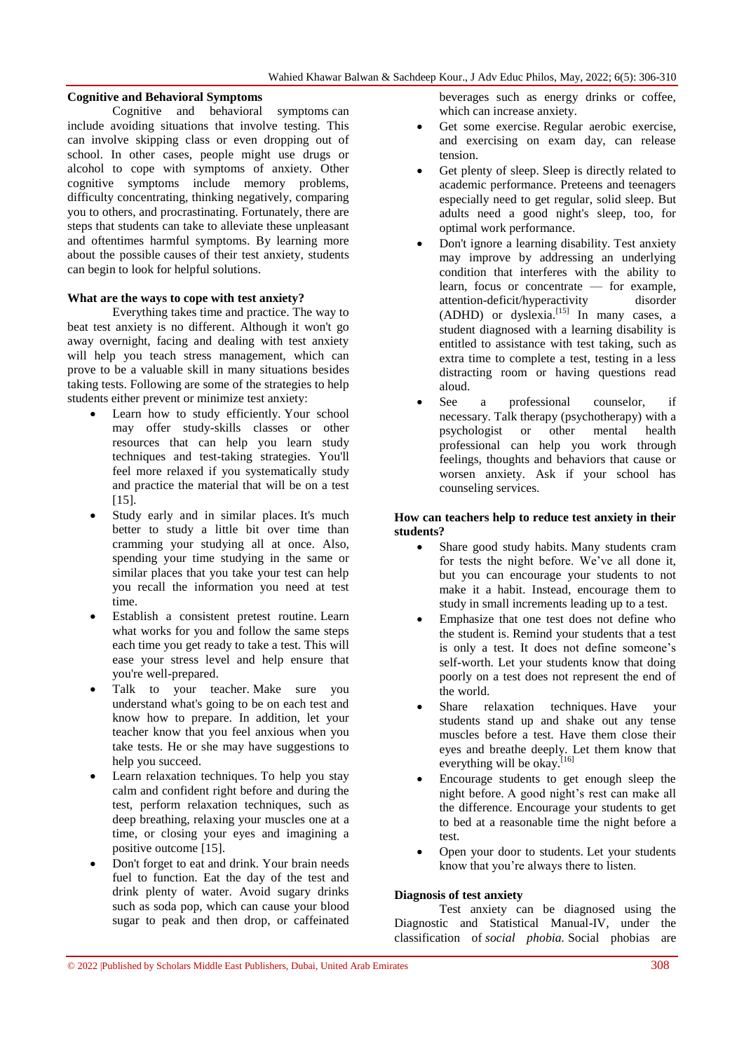# **Cognitive and Behavioral Symptoms**

Cognitive and behavioral symptoms can include avoiding situations that involve testing. This can involve skipping class or even dropping out of school. In other cases, people might use drugs or alcohol to cope with symptoms of anxiety. Other cognitive symptoms include memory problems, difficulty concentrating, thinking negatively, comparing you to others, and procrastinating. Fortunately, there are steps that students can take to alleviate these unpleasant and oftentimes harmful symptoms. By learning more about the possible causes of their test anxiety, students can begin to look for helpful solutions.

# **What are the ways to cope with test anxiety?**

Everything takes time and practice. The way to beat test anxiety is no different. Although it won't go away overnight, facing and dealing with test anxiety will help you teach stress management, which can prove to be a valuable skill in many situations besides taking tests. Following are some of the strategies to help students either prevent or minimize test anxiety:

- Learn how to study efficiently. Your school may offer study-skills classes or other resources that can help you learn study techniques and test-taking strategies. You'll feel more relaxed if you systematically study and practice the material that will be on a test [15].
- Study early and in similar places. It's much better to study a little bit over time than cramming your studying all at once. Also, spending your time studying in the same or similar places that you take your test can help you recall the information you need at test time.
- Establish a consistent pretest routine. Learn what works for you and follow the same steps each time you get ready to take a test. This will ease your stress level and help ensure that you're well-prepared.
- Talk to your teacher. Make sure you understand what's going to be on each test and know how to prepare. In addition, let your teacher know that you feel anxious when you take tests. He or she may have suggestions to help you succeed.
- Learn relaxation techniques. To help you stay calm and confident right before and during the test, perform relaxation techniques, such as deep breathing, relaxing your muscles one at a time, or closing your eyes and imagining a positive outcome [15].
- Don't forget to eat and drink. Your brain needs fuel to function. Eat the day of the test and drink plenty of water. Avoid sugary drinks such as soda pop, which can cause your blood sugar to peak and then drop, or caffeinated

beverages such as energy drinks or coffee, which can increase anxiety.

- Get some exercise. Regular aerobic exercise, and exercising on exam day, can release tension.
- Get plenty of sleep. Sleep is directly related to academic performance. Preteens and teenagers especially need to get regular, solid sleep. But adults need a good night's sleep, too, for optimal work performance.
- Don't ignore a learning disability. Test anxiety may improve by addressing an underlying condition that interferes with the ability to learn, focus or concentrate — for example, attention-deficit/hyperactivity disorder  $(ADHD)$  or dyslexia.<sup>[15]</sup> In many cases, a student diagnosed with a learning disability is entitled to assistance with test taking, such as extra time to complete a test, testing in a less distracting room or having questions read aloud.
- See a professional counselor, if necessary. Talk therapy (psychotherapy) with a psychologist or other mental health professional can help you work through feelings, thoughts and behaviors that cause or worsen anxiety. Ask if your school has counseling services.

# **How can teachers help to reduce test anxiety in their students?**

- Share good study habits. Many students cram for tests the night before. We've all done it, but you can encourage your students to not make it a habit. Instead, encourage them to study in small increments leading up to a test.
- Emphasize that one test does not define who the student is. Remind your students that a test is only a test. It does not define someone's self-worth. Let your students know that doing poorly on a test does not represent the end of the world.
- Share relaxation techniques. Have your students stand up and shake out any tense muscles before a test. Have them close their eyes and breathe deeply. Let them know that everything will be okay.<sup>[16]</sup>
- Encourage students to get enough sleep the night before. A good night's rest can make all the difference. Encourage your students to get to bed at a reasonable time the night before a test.
- Open your door to students. Let your students know that you're always there to listen.

# **Diagnosis of test anxiety**

Test anxiety can be diagnosed using the Diagnostic and Statistical Manual-IV, under the classification of *social phobia.* Social phobias are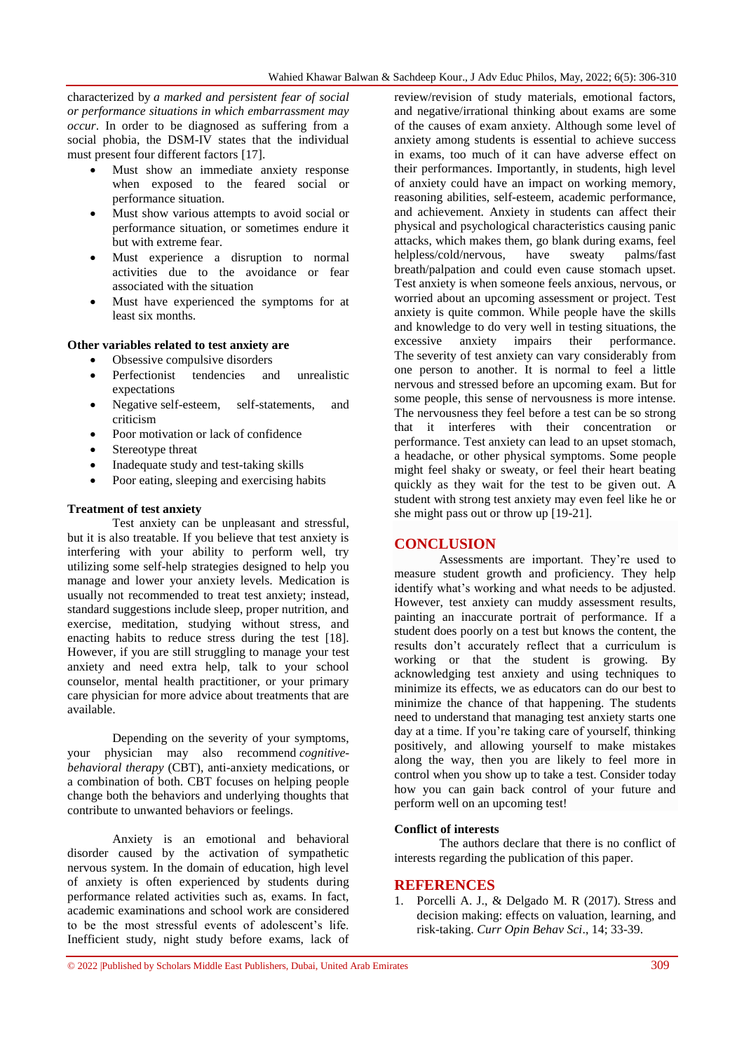characterized by *a marked and persistent fear of social or performance situations in which embarrassment may occur*. In order to be diagnosed as suffering from a social phobia, the DSM-IV states that the individual must present four different factors [17].

- Must show an immediate anxiety response when exposed to the feared social or performance situation.
- Must show various attempts to avoid social or performance situation, or sometimes endure it but with extreme fear.
- Must experience a disruption to normal activities due to the avoidance or fear associated with the situation
- Must have experienced the symptoms for at least six months.

#### **Other variables related to test anxiety are**

- Obsessive compulsive disorders
- Perfectionist tendencies and unrealistic expectations
- Negative self-esteem, self-statements, and criticism
- Poor motivation or lack of confidence
- Stereotype threat
- Inadequate study and test-taking skills
- Poor eating, sleeping and exercising habits

#### **Treatment of test anxiety**

Test anxiety can be unpleasant and stressful, but it is also treatable. If you believe that test anxiety is interfering with your ability to perform well, try utilizing some self-help strategies designed to help you manage and lower your anxiety levels. Medication is usually not recommended to treat test anxiety; instead, standard suggestions include sleep, proper nutrition, and exercise, meditation, studying without stress, and enacting habits to reduce stress during the test [18]. However, if you are still struggling to manage your test anxiety and need extra help, talk to your school counselor, mental health practitioner, or your primary care physician for more advice about treatments that are available.

Depending on the severity of your symptoms, your physician may also recommend *cognitivebehavioral therapy* (CBT), anti-anxiety medications, or a combination of both. CBT focuses on helping people change both the behaviors and underlying thoughts that contribute to unwanted behaviors or feelings.

Anxiety is an emotional and behavioral disorder caused by the activation of sympathetic nervous system. In the domain of education, high level of anxiety is often experienced by students during performance related activities such as, exams. In fact, academic examinations and school work are considered to be the most stressful events of adolescent's life. Inefficient study, night study before exams, lack of

review/revision of study materials, emotional factors, and negative/irrational thinking about exams are some of the causes of exam anxiety. Although some level of anxiety among students is essential to achieve success in exams, too much of it can have adverse effect on their performances. Importantly, in students, high level of anxiety could have an impact on working memory, reasoning abilities, self-esteem, academic performance, and achievement. Anxiety in students can affect their physical and psychological characteristics causing panic attacks, which makes them, go blank during exams, feel helpless/cold/nervous, have sweaty palms/fast breath/palpation and could even cause stomach upset. Test anxiety is when someone feels anxious, nervous, or worried about an upcoming assessment or project. Test anxiety is quite common. While people have the skills and knowledge to do very well in testing situations, the excessive anxiety impairs their performance. The severity of test anxiety can vary considerably from one person to another. It is normal to feel a little nervous and stressed before an upcoming exam. But for some people, this sense of nervousness is more intense. The nervousness they feel before a test can be so strong that it interferes with their concentration or performance. Test anxiety can lead to an upset stomach, a headache, or other physical symptoms. Some people might feel shaky or sweaty, or feel their heart beating quickly as they wait for the test to be given out. A student with strong test anxiety may even feel like he or she might pass out or throw up [19-21].

# **CONCLUSION**

Assessments are important. They're used to measure student growth and proficiency. They help identify what's working and what needs to be adjusted. However, test anxiety can muddy assessment results, painting an inaccurate portrait of performance. If a student does poorly on a test but knows the content, the results don't accurately reflect that a curriculum is working or that the student is growing. By acknowledging test anxiety and using techniques to minimize its effects, we as educators can do our best to minimize the chance of that happening. The students need to understand that managing test anxiety starts one day at a time. If you're taking care of yourself, thinking positively, and allowing yourself to make mistakes along the way, then you are likely to feel more in control when you show up to take a test. Consider today how you can gain back control of your future and perform well on an upcoming test!

#### **Conflict of interests**

The authors declare that there is no conflict of interests regarding the publication of this paper.

# **REFERENCES**

1. Porcelli A. J., & Delgado M. R (2017). Stress and decision making: effects on valuation, learning, and risk-taking. *Curr Opin Behav Sci*., 14; 33-39.